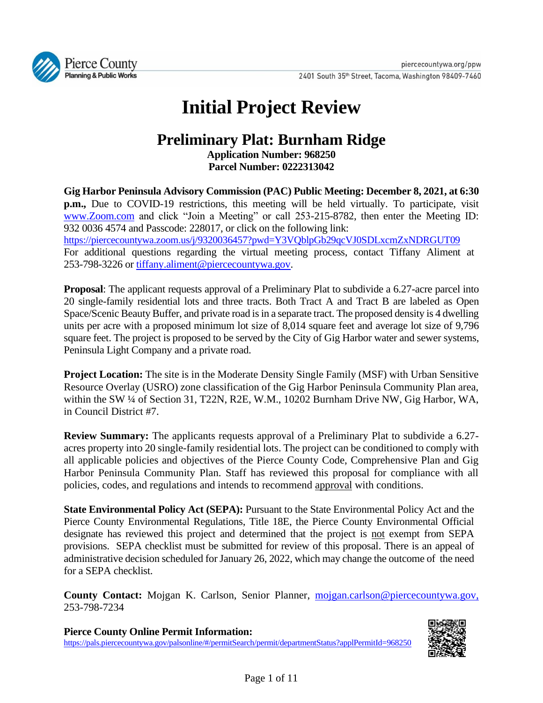

# **Initial Project Review**

# **Preliminary Plat: Burnham Ridge**

**Application Number: 968250 Parcel Number: 0222313042**

**Gig Harbor Peninsula Advisory Commission (PAC) Public Meeting: December 8, 2021, at 6:30 p.m.,** Due to COVID-19 restrictions, this meeting will be held virtually. To participate, visit [www.Zoom.com](http://www.zoom.com/) and click "Join a Meeting" or call 253-215-8782, then enter the Meeting ID: 932 0036 4574 and Passcode: 228017, or click on the following link: <https://piercecountywa.zoom.us/j/9320036457?pwd=Y3VQblpGb29qcVJ0SDLxcmZxNDRGUT09>

For additional questions regarding the virtual meeting process, contact Tiffany Aliment at 253-798-3226 or [tiffany.aliment@piercecountywa.gov.](mailto:tiffany.aliment@piercecountywa.gov)

**Proposal**: The applicant requests approval of a Preliminary Plat to subdivide a 6.27-acre parcel into 20 single-family residential lots and three tracts. Both Tract A and Tract B are labeled as Open Space/Scenic Beauty Buffer, and private road is in a separate tract. The proposed density is 4 dwelling units per acre with a proposed minimum lot size of 8,014 square feet and average lot size of 9,796 square feet. The project is proposed to be served by the City of Gig Harbor water and sewer systems, Peninsula Light Company and a private road.

**Project Location:** The site is in the Moderate Density Single Family (MSF) with Urban Sensitive Resource Overlay (USRO) zone classification of the Gig Harbor Peninsula Community Plan area, within the SW ¼ of Section 31, T22N, R2E, W.M., 10202 Burnham Drive NW, Gig Harbor, WA, in Council District #7.

**Review Summary:** The applicants requests approval of a Preliminary Plat to subdivide a 6.27 acres property into 20 single-family residential lots. The project can be conditioned to comply with all applicable policies and objectives of the Pierce County Code, Comprehensive Plan and Gig Harbor Peninsula Community Plan. Staff has reviewed this proposal for compliance with all policies, codes, and regulations and intends to recommend approval with conditions.

**State Environmental Policy Act (SEPA):** Pursuant to the State Environmental Policy Act and the Pierce County Environmental Regulations, Title 18E, the Pierce County Environmental Official designate has reviewed this project and determined that the project is not exempt from SEPA provisions. SEPA checklist must be submitted for review of this proposal. There is an appeal of administrative decision scheduled for January 26, 2022, which may change the outcome of the need for a SEPA checklist.

**County Contact:** Mojgan K. Carlson, Senior Planner, [mojgan.carlson@piercecountywa.gov,](mailto:mojgan.carlson@piercecountywa.gov) 253-798-7234

**Pierce County Online Permit Information:** <https://pals.piercecountywa.gov/palsonline/#/permitSearch/permit/departmentStatus?applPermitId=968250>

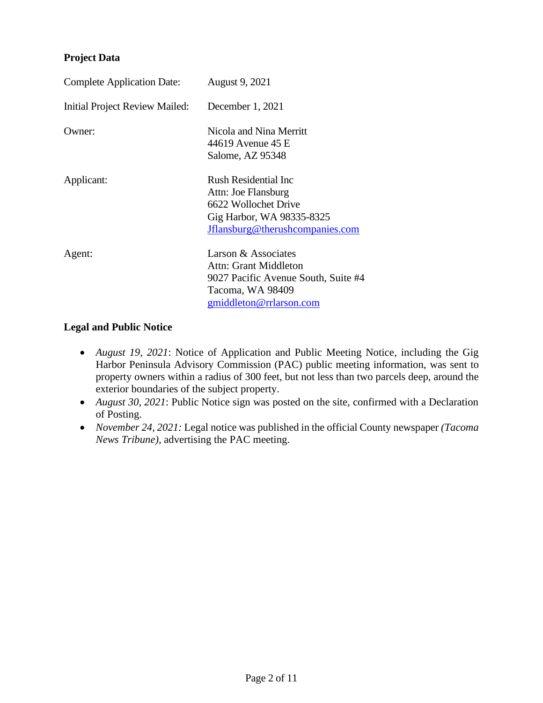#### **Project Data**

| <b>Complete Application Date:</b> | <b>August 9, 2021</b>                                                                                                                |
|-----------------------------------|--------------------------------------------------------------------------------------------------------------------------------------|
| Initial Project Review Mailed:    | December 1, 2021                                                                                                                     |
| Owner:                            | Nicola and Nina Merritt<br>44619 Avenue 45 E<br>Salome, AZ 95348                                                                     |
| Applicant:                        | Rush Residential Inc.<br>Attn: Joe Flansburg<br>6622 Wollochet Drive<br>Gig Harbor, WA 98335-8325<br>Jflansburg@therushcompanies.com |
| Agent:                            | Larson & Associates<br>Attn: Grant Middleton<br>9027 Pacific Avenue South, Suite #4<br>Tacoma, WA 98409<br>gmiddleton@rrlarson.com   |

#### **Legal and Public Notice**

- *August 19, 2021*: Notice of Application and Public Meeting Notice, including the Gig Harbor Peninsula Advisory Commission (PAC) public meeting information, was sent to property owners within a radius of 300 feet, but not less than two parcels deep, around the exterior boundaries of the subject property.
- *August 30, 2021*: Public Notice sign was posted on the site, confirmed with a Declaration of Posting.
- *November 24, 2021:* Legal notice was published in the official County newspaper *(Tacoma News Tribune),* advertising the PAC meeting.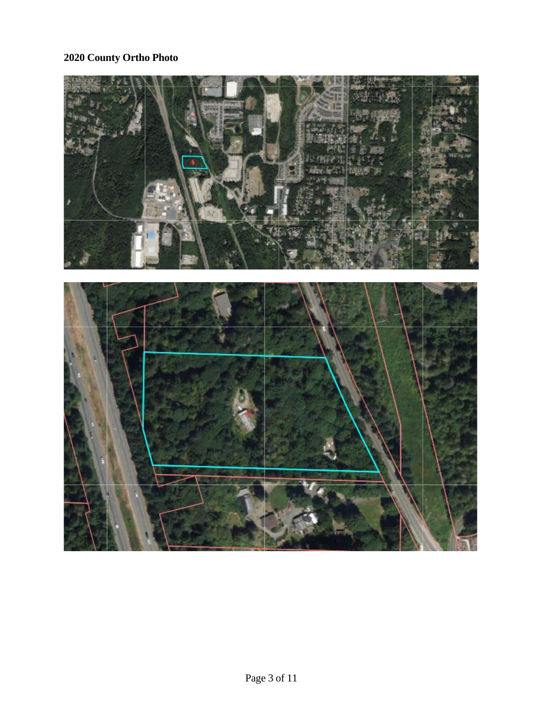# **2020 County Ortho Photo**

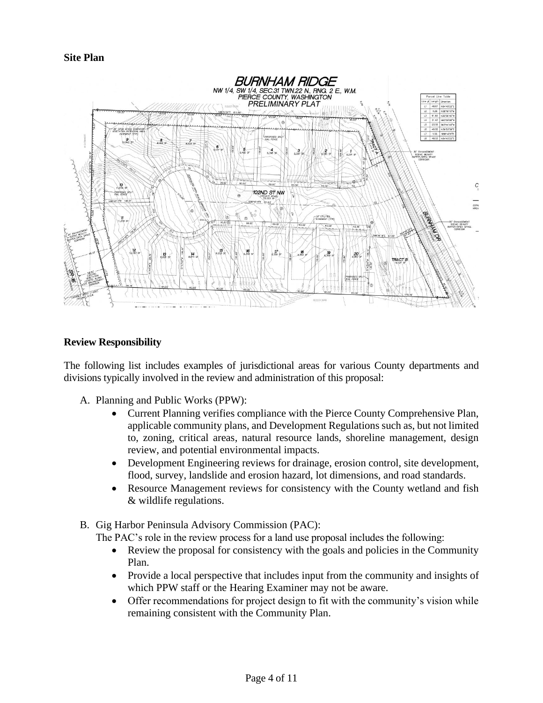**Site Plan**



#### **Review Responsibility**

The following list includes examples of jurisdictional areas for various County departments and divisions typically involved in the review and administration of this proposal:

- A. Planning and Public Works (PPW):
	- Current Planning verifies compliance with the Pierce County Comprehensive Plan, applicable community plans, and Development Regulations such as, but not limited to, zoning, critical areas, natural resource lands, shoreline management, design review, and potential environmental impacts.
	- Development Engineering reviews for drainage, erosion control, site development, flood, survey, landslide and erosion hazard, lot dimensions, and road standards.
	- Resource Management reviews for consistency with the County wetland and fish & wildlife regulations.
- B. Gig Harbor Peninsula Advisory Commission (PAC):

The PAC's role in the review process for a land use proposal includes the following:

- Review the proposal for consistency with the goals and policies in the Community Plan.
- Provide a local perspective that includes input from the community and insights of which PPW staff or the Hearing Examiner may not be aware.
- Offer recommendations for project design to fit with the community's vision while remaining consistent with the Community Plan.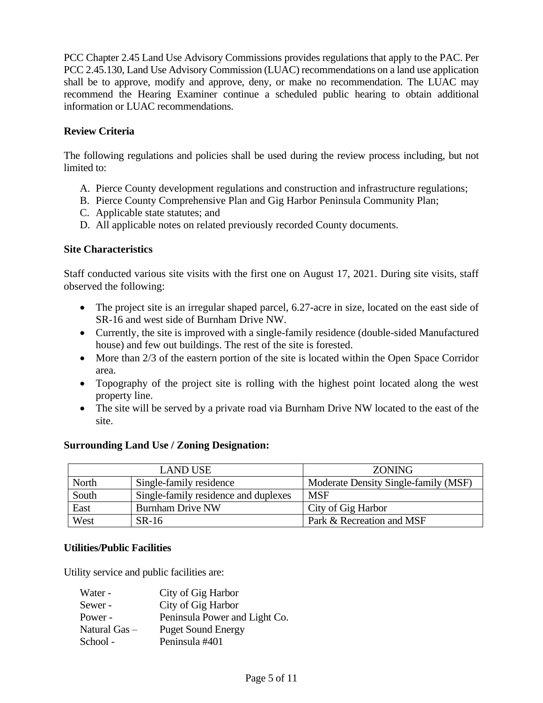PCC Chapter 2.45 Land Use Advisory Commissions provides regulations that apply to the PAC. Per PCC 2.45.130, Land Use Advisory Commission (LUAC) recommendations on a land use application shall be to approve, modify and approve, deny, or make no recommendation. The LUAC may recommend the Hearing Examiner continue a scheduled public hearing to obtain additional information or LUAC recommendations.

# **Review Criteria**

The following regulations and policies shall be used during the review process including, but not limited to:

- A. Pierce County development regulations and construction and infrastructure regulations;
- B. Pierce County Comprehensive Plan and Gig Harbor Peninsula Community Plan;
- C. Applicable state statutes; and
- D. All applicable notes on related previously recorded County documents.

# **Site Characteristics**

Staff conducted various site visits with the first one on August 17, 2021. During site visits, staff observed the following:

- The project site is an irregular shaped parcel, 6.27-acre in size, located on the east side of SR-16 and west side of Burnham Drive NW.
- Currently, the site is improved with a single-family residence (double-sided Manufactured house) and few out buildings. The rest of the site is forested.
- More than 2/3 of the eastern portion of the site is located within the Open Space Corridor area.
- Topography of the project site is rolling with the highest point located along the west property line.
- The site will be served by a private road via Burnham Drive NW located to the east of the site.

# **Surrounding Land Use / Zoning Designation:**

| <b>LAND USE</b> |                                      | <b>ZONING</b>                        |
|-----------------|--------------------------------------|--------------------------------------|
| North           | Single-family residence              | Moderate Density Single-family (MSF) |
| South           | Single-family residence and duplexes | <b>MSF</b>                           |
| East            | <b>Burnham Drive NW</b>              | City of Gig Harbor                   |
| West            | SR-16                                | Park & Recreation and MSF            |

# **Utilities/Public Facilities**

Utility service and public facilities are:

| Water -         | City of Gig Harbor            |
|-----------------|-------------------------------|
| Sewer -         | City of Gig Harbor            |
| Power -         | Peninsula Power and Light Co. |
| Natural $Gas -$ | <b>Puget Sound Energy</b>     |
| School -        | Peninsula #401                |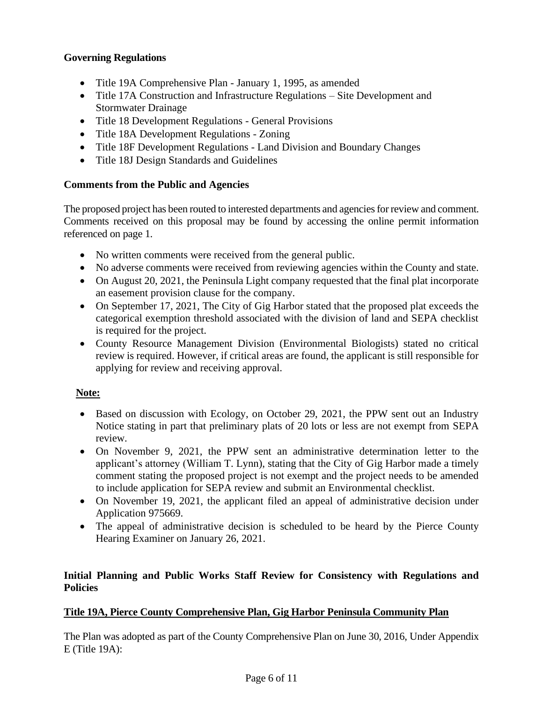# **Governing Regulations**

- Title 19A Comprehensive Plan January 1, 1995, as amended
- Title 17A Construction and Infrastructure Regulations Site Development and Stormwater Drainage
- Title 18 Development Regulations General Provisions
- Title 18A Development Regulations Zoning
- Title 18F Development Regulations Land Division and Boundary Changes
- Title 18J Design Standards and Guidelines

# **Comments from the Public and Agencies**

The proposed project has been routed to interested departments and agencies for review and comment. Comments received on this proposal may be found by accessing the online permit information referenced on page 1.

- No written comments were received from the general public.
- No adverse comments were received from reviewing agencies within the County and state.
- On August 20, 2021, the Peninsula Light company requested that the final plat incorporate an easement provision clause for the company.
- On September 17, 2021, The City of Gig Harbor stated that the proposed plat exceeds the categorical exemption threshold associated with the division of land and SEPA checklist is required for the project.
- County Resource Management Division (Environmental Biologists) stated no critical review is required. However, if critical areas are found, the applicant is still responsible for applying for review and receiving approval.

# **Note:**

- Based on discussion with Ecology, on October 29, 2021, the PPW sent out an Industry Notice stating in part that preliminary plats of 20 lots or less are not exempt from SEPA review.
- On November 9, 2021, the PPW sent an administrative determination letter to the applicant's attorney (William T. Lynn), stating that the City of Gig Harbor made a timely comment stating the proposed project is not exempt and the project needs to be amended to include application for SEPA review and submit an Environmental checklist.
- On November 19, 2021, the applicant filed an appeal of administrative decision under Application 975669.
- The appeal of administrative decision is scheduled to be heard by the Pierce County Hearing Examiner on January 26, 2021.

# **Initial Planning and Public Works Staff Review for Consistency with Regulations and Policies**

# **Title 19A, Pierce County Comprehensive Plan, Gig Harbor Peninsula Community Plan**

The Plan was adopted as part of the County Comprehensive Plan on June 30, 2016, Under Appendix E (Title 19A):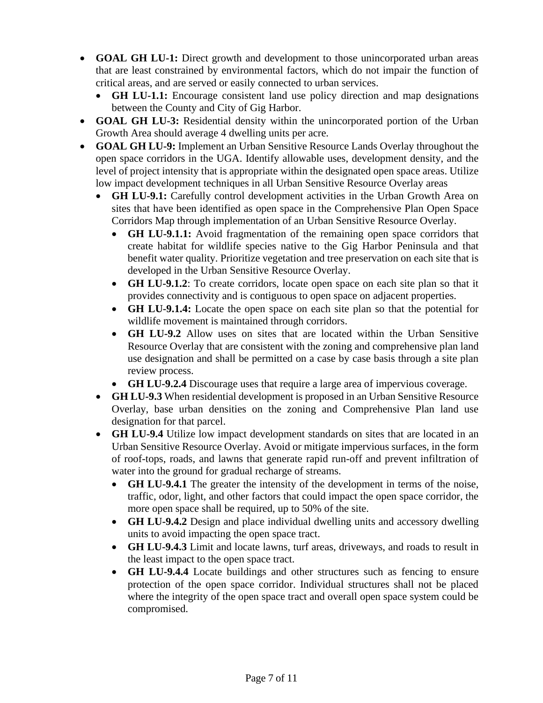- **GOAL GH LU-1:** Direct growth and development to those unincorporated urban areas that are least constrained by environmental factors, which do not impair the function of critical areas, and are served or easily connected to urban services.
	- **GH LU-1.1:** Encourage consistent land use policy direction and map designations between the County and City of Gig Harbor.
- **GOAL GH LU-3:** Residential density within the unincorporated portion of the Urban Growth Area should average 4 dwelling units per acre.
- **GOAL GH LU-9:** Implement an Urban Sensitive Resource Lands Overlay throughout the open space corridors in the UGA. Identify allowable uses, development density, and the level of project intensity that is appropriate within the designated open space areas. Utilize low impact development techniques in all Urban Sensitive Resource Overlay areas
	- **GH LU-9.1:** Carefully control development activities in the Urban Growth Area on sites that have been identified as open space in the Comprehensive Plan Open Space Corridors Map through implementation of an Urban Sensitive Resource Overlay.
		- **GH LU-9.1.1:** Avoid fragmentation of the remaining open space corridors that create habitat for wildlife species native to the Gig Harbor Peninsula and that benefit water quality. Prioritize vegetation and tree preservation on each site that is developed in the Urban Sensitive Resource Overlay.
		- **GH LU-9.1.2**: To create corridors, locate open space on each site plan so that it provides connectivity and is contiguous to open space on adjacent properties.
		- **GH LU-9.1.4:** Locate the open space on each site plan so that the potential for wildlife movement is maintained through corridors.
		- **GH LU-9.2** Allow uses on sites that are located within the Urban Sensitive Resource Overlay that are consistent with the zoning and comprehensive plan land use designation and shall be permitted on a case by case basis through a site plan review process.
		- **GH LU-9.2.4** Discourage uses that require a large area of impervious coverage.
	- **GH LU-9.3** When residential development is proposed in an Urban Sensitive Resource Overlay, base urban densities on the zoning and Comprehensive Plan land use designation for that parcel.
	- **GH LU-9.4** Utilize low impact development standards on sites that are located in an Urban Sensitive Resource Overlay. Avoid or mitigate impervious surfaces, in the form of roof-tops, roads, and lawns that generate rapid run-off and prevent infiltration of water into the ground for gradual recharge of streams.
		- **GH LU-9.4.1** The greater the intensity of the development in terms of the noise, traffic, odor, light, and other factors that could impact the open space corridor, the more open space shall be required, up to 50% of the site.
		- **GH LU-9.4.2** Design and place individual dwelling units and accessory dwelling units to avoid impacting the open space tract.
		- **GH LU-9.4.3** Limit and locate lawns, turf areas, driveways, and roads to result in the least impact to the open space tract.
		- **GH LU-9.4.4** Locate buildings and other structures such as fencing to ensure protection of the open space corridor. Individual structures shall not be placed where the integrity of the open space tract and overall open space system could be compromised.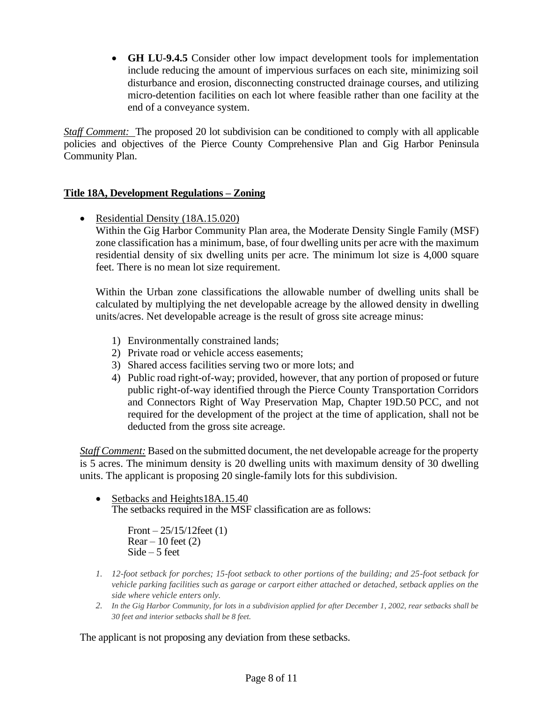• **GH LU-9.4.5** Consider other low impact development tools for implementation include reducing the amount of impervious surfaces on each site, minimizing soil disturbance and erosion, disconnecting constructed drainage courses, and utilizing micro-detention facilities on each lot where feasible rather than one facility at the end of a conveyance system.

*Staff Comment:* The proposed 20 lot subdivision can be conditioned to comply with all applicable policies and objectives of the Pierce County Comprehensive Plan and Gig Harbor Peninsula Community Plan.

# **Title 18A, Development Regulations – Zoning**

• Residential Density (18A.15.020)

Within the Gig Harbor Community Plan area, the Moderate Density Single Family (MSF) zone classification has a minimum, base, of four dwelling units per acre with the maximum residential density of six dwelling units per acre. The minimum lot size is 4,000 square feet. There is no mean lot size requirement.

Within the Urban zone classifications the allowable number of dwelling units shall be calculated by multiplying the net developable acreage by the allowed density in dwelling units/acres. Net developable acreage is the result of gross site acreage minus:

- 1) Environmentally constrained lands;
- 2) Private road or vehicle access easements;
- 3) Shared access facilities serving two or more lots; and
- 4) Public road right-of-way; provided, however, that any portion of proposed or future public right-of-way identified through the Pierce County Transportation Corridors and Connectors Right of Way Preservation Map, Chapter 19D.50 PCC, and not required for the development of the project at the time of application, shall not be deducted from the gross site acreage.

*Staff Comment:* Based on the submitted document, the net developable acreage for the property is 5 acres. The minimum density is 20 dwelling units with maximum density of 30 dwelling units. The applicant is proposing 20 single-family lots for this subdivision.

• Setbacks and Heights18A.15.40 The setbacks required in the MSF classification are as follows:

> Front  $-25/15/12$  feet (1)  $Rear - 10$  feet  $(2)$ Side – 5 feet

- *1. 12-foot setback for porches; 15-foot setback to other portions of the building; and 25-foot setback for vehicle parking facilities such as garage or carport either attached or detached, setback applies on the side where vehicle enters only.*
- *2. In the Gig Harbor Community, for lots in a subdivision applied for after December 1, 2002, rear setbacks shall be 30 feet and interior setbacks shall be 8 feet.*

The applicant is not proposing any deviation from these setbacks.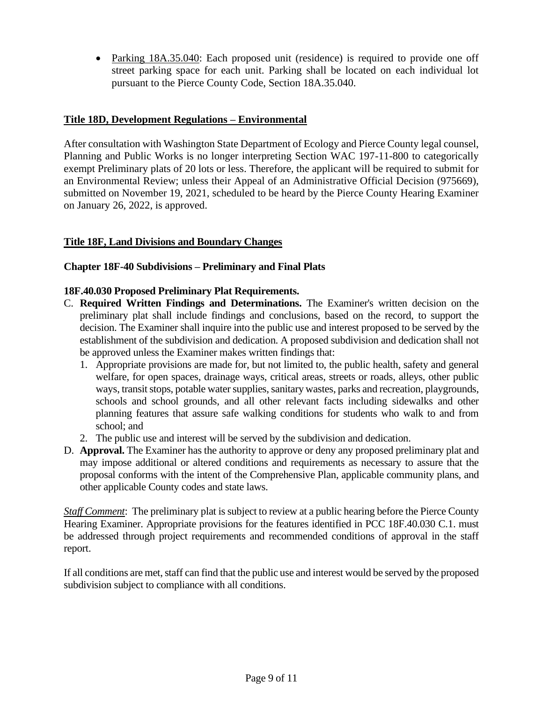• Parking 18A.35.040: Each proposed unit (residence) is required to provide one off street parking space for each unit. Parking shall be located on each individual lot pursuant to the Pierce County Code, Section 18A.35.040.

#### **Title 18D, Development Regulations – Environmental**

After consultation with Washington State Department of Ecology and Pierce County legal counsel, Planning and Public Works is no longer interpreting Section WAC 197-11-800 to categorically exempt Preliminary plats of 20 lots or less. Therefore, the applicant will be required to submit for an Environmental Review; unless their Appeal of an Administrative Official Decision (975669), submitted on November 19, 2021, scheduled to be heard by the Pierce County Hearing Examiner on January 26, 2022, is approved.

#### **Title 18F, Land Divisions and Boundary Changes**

#### **Chapter 18F-40 Subdivisions – Preliminary and Final Plats**

#### **18F.40.030 Proposed Preliminary Plat Requirements.**

- C. **Required Written Findings and Determinations.** The Examiner's written decision on the preliminary plat shall include findings and conclusions, based on the record, to support the decision. The Examiner shall inquire into the public use and interest proposed to be served by the establishment of the subdivision and dedication. A proposed subdivision and dedication shall not be approved unless the Examiner makes written findings that:
	- 1. Appropriate provisions are made for, but not limited to, the public health, safety and general welfare, for open spaces, drainage ways, critical areas, streets or roads, alleys, other public ways, transit stops, potable water supplies, sanitary wastes, parks and recreation, playgrounds, schools and school grounds, and all other relevant facts including sidewalks and other planning features that assure safe walking conditions for students who walk to and from school; and
	- 2. The public use and interest will be served by the subdivision and dedication.
- D. **Approval.** The Examiner has the authority to approve or deny any proposed preliminary plat and may impose additional or altered conditions and requirements as necessary to assure that the proposal conforms with the intent of the Comprehensive Plan, applicable community plans, and other applicable County codes and state laws.

*Staff Comment*: The preliminary plat is subject to review at a public hearing before the Pierce County Hearing Examiner. Appropriate provisions for the features identified in PCC 18F.40.030 C.1. must be addressed through project requirements and recommended conditions of approval in the staff report.

If all conditions are met, staff can find that the public use and interest would be served by the proposed subdivision subject to compliance with all conditions.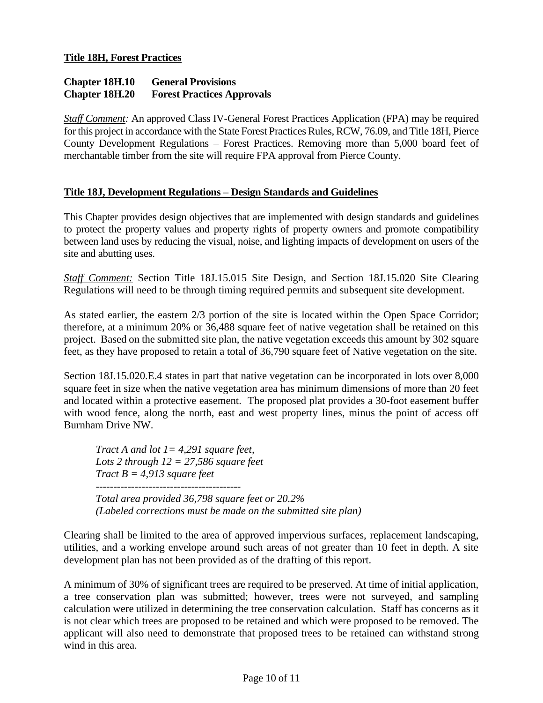#### **Chapter 18H.10 General Provisions Chapter 18H.20 Forest Practices Approvals**

*Staff Comment:* An approved Class IV-General Forest Practices Application (FPA) may be required for this project in accordance with the State Forest Practices Rules, RCW, 76.09, and Title 18H, Pierce County Development Regulations – Forest Practices. Removing more than 5,000 board feet of merchantable timber from the site will require FPA approval from Pierce County.

#### **Title 18J, Development Regulations – Design Standards and Guidelines**

This Chapter provides design objectives that are implemented with design standards and guidelines to protect the property values and property rights of property owners and promote compatibility between land uses by reducing the visual, noise, and lighting impacts of development on users of the site and abutting uses.

*Staff Comment:* Section Title 18J.15.015 Site Design, and Section 18J.15.020 Site Clearing Regulations will need to be through timing required permits and subsequent site development.

As stated earlier, the eastern 2/3 portion of the site is located within the Open Space Corridor; therefore, at a minimum 20% or 36,488 square feet of native vegetation shall be retained on this project. Based on the submitted site plan, the native vegetation exceeds this amount by 302 square feet, as they have proposed to retain a total of 36,790 square feet of Native vegetation on the site.

Section 18J.15.020.E.4 states in part that native vegetation can be incorporated in lots over 8,000 square feet in size when the native vegetation area has minimum dimensions of more than 20 feet and located within a protective easement. The proposed plat provides a 30-foot easement buffer with wood fence, along the north, east and west property lines, minus the point of access off Burnham Drive NW.

*Tract A and lot 1= 4,291 square feet, Lots 2 through 12 = 27,586 square feet Tract B = 4,913 square feet ----------------------------------------- Total area provided 36,798 square feet or 20.2% (Labeled corrections must be made on the submitted site plan)*

Clearing shall be limited to the area of approved impervious surfaces, replacement landscaping, utilities, and a working envelope around such areas of not greater than 10 feet in depth. A site development plan has not been provided as of the drafting of this report.

A minimum of 30% of significant trees are required to be preserved. At time of initial application, a tree conservation plan was submitted; however, trees were not surveyed, and sampling calculation were utilized in determining the tree conservation calculation. Staff has concerns as it is not clear which trees are proposed to be retained and which were proposed to be removed. The applicant will also need to demonstrate that proposed trees to be retained can withstand strong wind in this area.